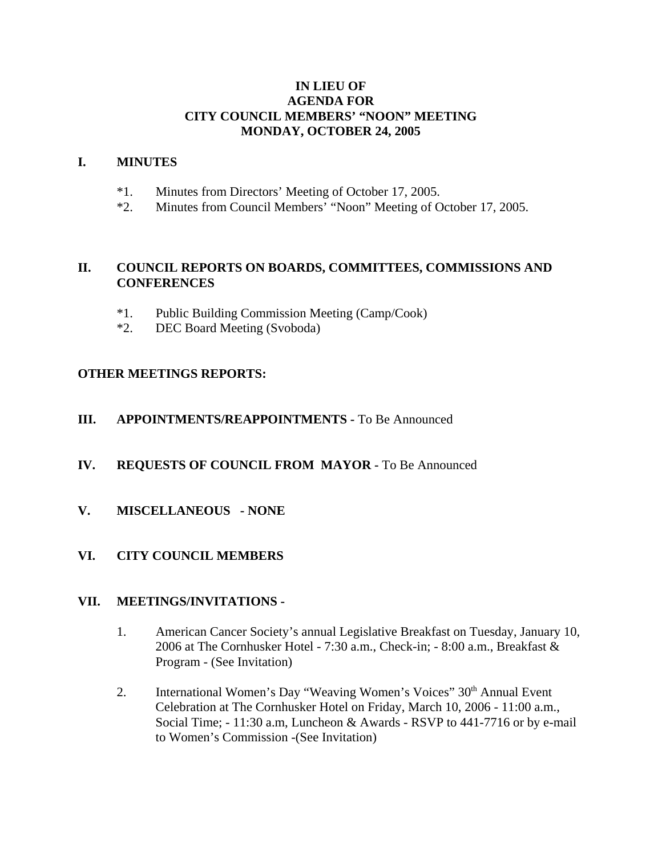## **IN LIEU OF AGENDA FOR CITY COUNCIL MEMBERS' "NOON" MEETING MONDAY, OCTOBER 24, 2005**

#### **I. MINUTES**

- \*1. Minutes from Directors' Meeting of October 17, 2005.
- \*2. Minutes from Council Members' "Noon" Meeting of October 17, 2005.

# **II. COUNCIL REPORTS ON BOARDS, COMMITTEES, COMMISSIONS AND CONFERENCES**

- \*1. Public Building Commission Meeting (Camp/Cook)
- \*2. DEC Board Meeting (Svoboda)

## **OTHER MEETINGS REPORTS:**

## **III.** APPOINTMENTS/REAPPOINTMENTS - To Be Announced

#### **IV. REQUESTS OF COUNCIL FROM MAYOR -** To Be Announced

**V. MISCELLANEOUS - NONE** 

# **VI. CITY COUNCIL MEMBERS**

#### **VII. MEETINGS/INVITATIONS -**

- 1. American Cancer Society's annual Legislative Breakfast on Tuesday, January 10, 2006 at The Cornhusker Hotel - 7:30 a.m., Check-in; - 8:00 a.m., Breakfast & Program - (See Invitation)
- 2. International Women's Day "Weaving Women's Voices" 30<sup>th</sup> Annual Event Celebration at The Cornhusker Hotel on Friday, March 10, 2006 - 11:00 a.m., Social Time; - 11:30 a.m, Luncheon & Awards - RSVP to 441-7716 or by e-mail to Women's Commission -(See Invitation)